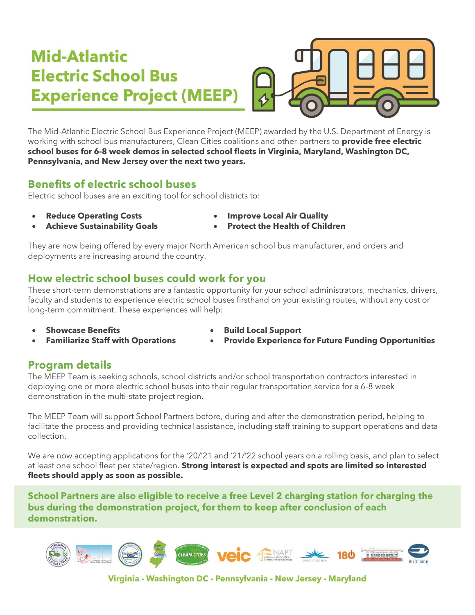# Mid-Atlantic **Electric School Bus Experience Project (MEEP)**



The Mid-Atlantic Electric School Bus Experience Project (MEEP) awarded by the U.S. Department of Energy is working with school bus manufacturers, Clean Cities coalitions and other partners to **provide free electric school buses for 6-8 week demos in selected school fleets in Virginia, Maryland, Washington DC, Pennsylvania, and New Jersey over the next two years.**

### **Benefits of electric school buses**

Electric school buses are an exciting tool for school districts to:

- 
- **Reduce Operating Costs Improve Local Air Quality**
- 
- **Achieve Sustainability Goals Protect the Health of Children**

They are now being offered by every major North American school bus manufacturer, and orders and deployments are increasing around the country.

### **How electric school buses could work for you**

These short-term demonstrations are a fantastic opportunity for your school administrators, mechanics, drivers, faculty and students to experience electric school buses firsthand on your existing routes, without any cost or long-term commitment. These experiences will help:

- 
- **Showcase Benefits Build Local Support**
- **Familiarize Staff with Operations Provide Experience for Future Funding Opportunities**
- 

#### **Program details**

The MEEP Team is seeking schools, school districts and/or school transportation contractors interested in deploying one or more electric school buses into their regular transportation service for a 6-8 week demonstration in the multi-state project region.

The MEEP Team will support School Partners before, during and after the demonstration period, helping to facilitate the process and providing technical assistance, including staff training to support operations and data collection.

We are now accepting applications for the '20/'21 and '21/'22 school years on a rolling basis, and plan to select at least one school fleet per state/region. **Strong interest is expected and spots are limited so interested fleets should apply as soon as possible.**

**School Partners are also eligible to receive a free Level 2 charging station for charging the bus during the demonstration project, for them to keep after conclusion of each demonstration.**



Virginia - Washington DC - Pennsylvania - New Jersey - Maryland